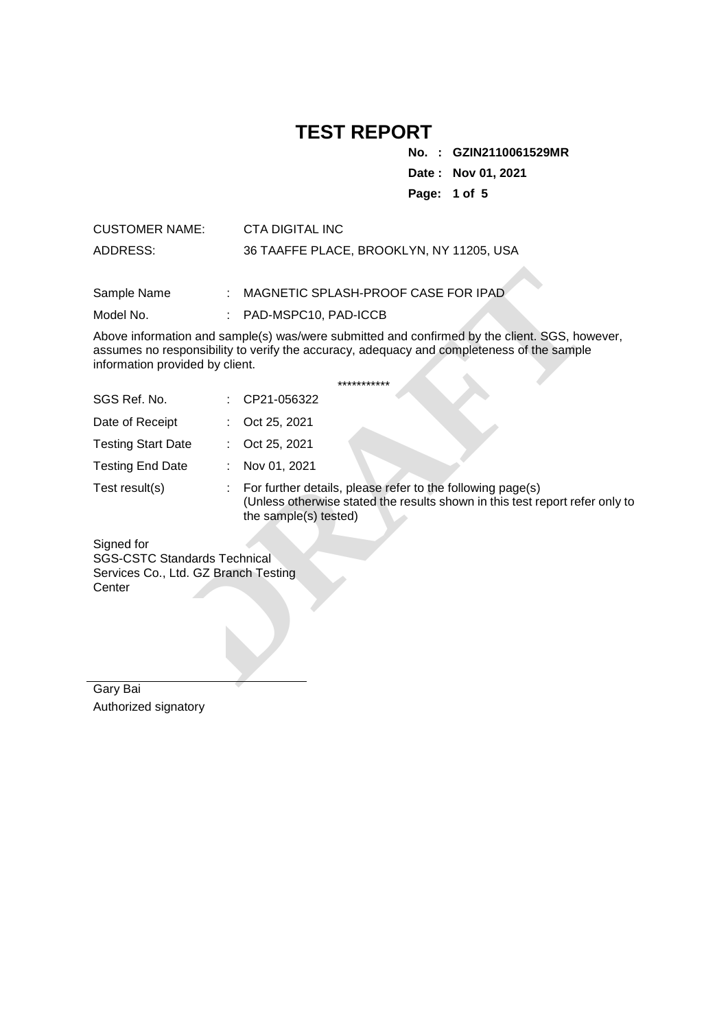**No. : GZIN2110061529MR**

**Date : Nov 01, 2021**

**Page: 1 of 5** 

| <b>CUSTOMER NAME:</b> | CTA DIGITAL INC                          |
|-----------------------|------------------------------------------|
| ADDRESS:              | 36 TAAFFE PLACE, BROOKLYN, NY 11205, USA |

| Sample Name                          |                | MAGNETIC SPLASH-PROOF CASE FOR IPAD                                                                                                                                                        |  |  |
|--------------------------------------|----------------|--------------------------------------------------------------------------------------------------------------------------------------------------------------------------------------------|--|--|
| Model No.                            |                | PAD-MSPC10, PAD-ICCB                                                                                                                                                                       |  |  |
| information provided by client.      |                | Above information and sample(s) was/were submitted and confirmed by the client. SGS, however,<br>assumes no responsibility to verify the accuracy, adequacy and completeness of the sample |  |  |
|                                      |                | ***********                                                                                                                                                                                |  |  |
| SGS Ref. No.                         |                | CP21-056322                                                                                                                                                                                |  |  |
| Date of Receipt                      |                | Oct 25, 2021                                                                                                                                                                               |  |  |
| <b>Testing Start Date</b>            |                | Oct 25, 2021                                                                                                                                                                               |  |  |
| <b>Testing End Date</b>              | $\mathbb{R}^n$ | Nov 01, 2021                                                                                                                                                                               |  |  |
| Test result(s)                       | ÷.             | For further details, please refer to the following page(s)<br>(Unless otherwise stated the results shown in this test report refer only to<br>the sample(s) tested)                        |  |  |
| Signed for                           |                |                                                                                                                                                                                            |  |  |
| <b>SGS-CSTC Standards Technical</b>  |                |                                                                                                                                                                                            |  |  |
| Services Co., Ltd. GZ Branch Testing |                |                                                                                                                                                                                            |  |  |
| Center                               |                |                                                                                                                                                                                            |  |  |
| $Oon$ , D <sub>o</sub> :             |                |                                                                                                                                                                                            |  |  |

| Gary Bai             |  |
|----------------------|--|
| Authorized signatory |  |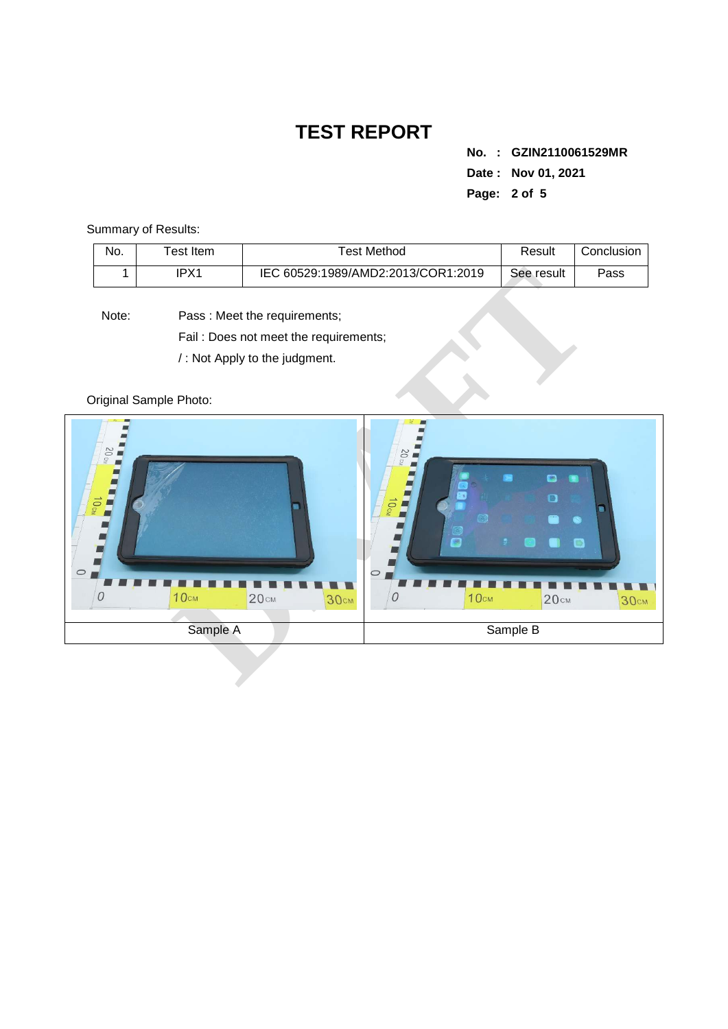**No. : GZIN2110061529MR Date : Nov 01, 2021 Page: 2 of 5** 

Summary of Results:

| No. | Test Item | ™est Method                        | Result     | Conclusion |
|-----|-----------|------------------------------------|------------|------------|
|     | IPX1      | IEC 60529:1989/AMD2:2013/COR1:2019 | See result | Pass       |

Note: Pass : Meet the requirements; Fail : Does not meet the requirements; / : Not Apply to the judgment.

Original Sample Photo:

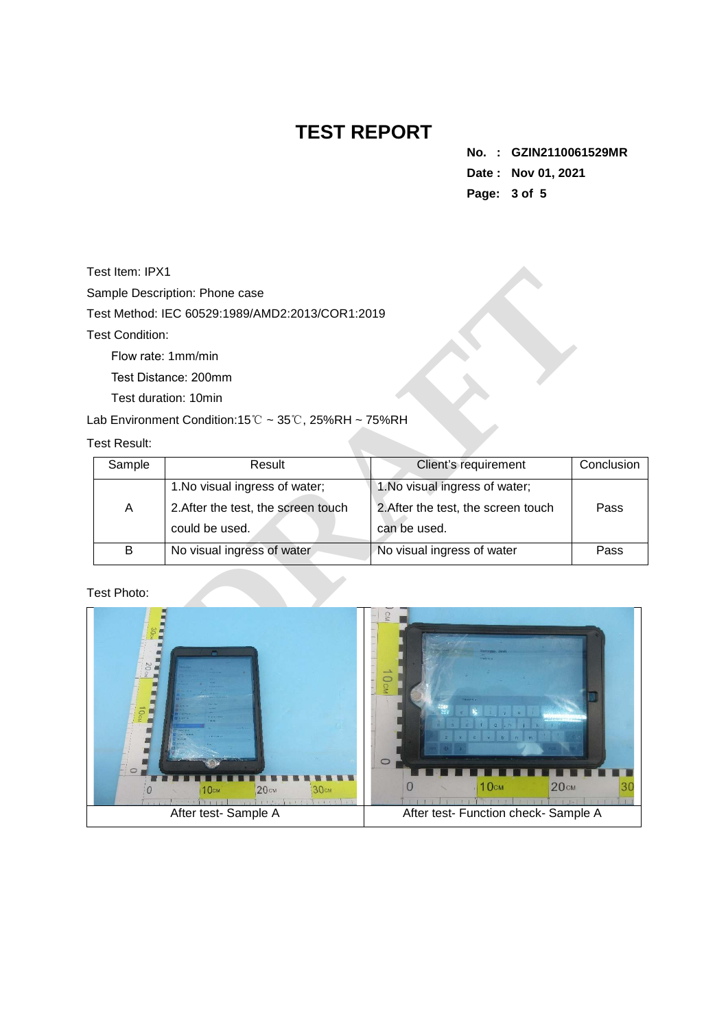**No. : GZIN2110061529MR Date : Nov 01, 2021 Page: 3 of 5** 

Test Item: IPX1

Test Condition:

#### Test Result:

| Test Item: IPX1        |                                                                          |                                     |            |
|------------------------|--------------------------------------------------------------------------|-------------------------------------|------------|
|                        | Sample Description: Phone case                                           |                                     |            |
|                        | Test Method: IEC 60529:1989/AMD2:2013/COR1:2019                          |                                     |            |
| <b>Test Condition:</b> |                                                                          |                                     |            |
|                        | Flow rate: 1mm/min                                                       |                                     |            |
|                        | Test Distance: 200mm                                                     |                                     |            |
|                        | Test duration: 10min                                                     |                                     |            |
|                        | Lab Environment Condition:15 $\degree$ C ~ 35 $\degree$ C, 25%RH ~ 75%RH |                                     |            |
| <b>Test Result:</b>    |                                                                          |                                     |            |
| Sample                 | Result                                                                   | Client's requirement                | Conclusion |
|                        | 1. No visual ingress of water;                                           | 1. No visual ingress of water;      |            |
| A                      | 2. After the test, the screen touch                                      | 2. After the test, the screen touch | Pass       |
|                        | could be used.                                                           | can be used.                        |            |
| B                      | No visual ingress of water                                               | No visual ingress of water          | Pass       |
| Test Photo:            |                                                                          |                                     |            |
|                        |                                                                          |                                     |            |

### Test Photo:

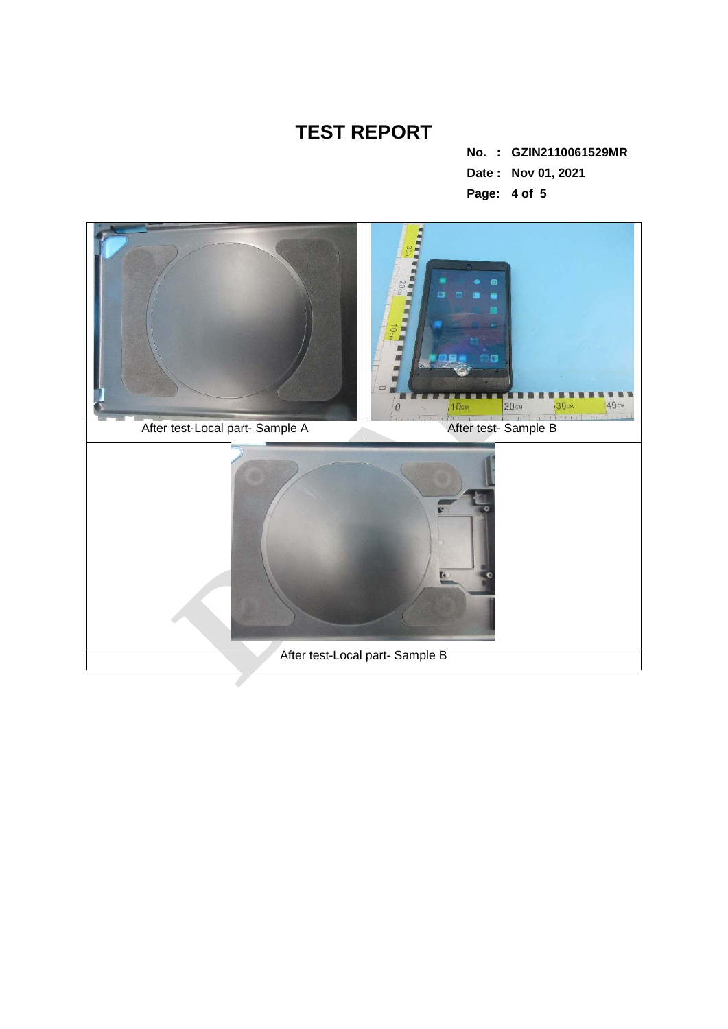**No. : GZIN2110061529MR Date : Nov 01, 2021 Page: 4 of 5**